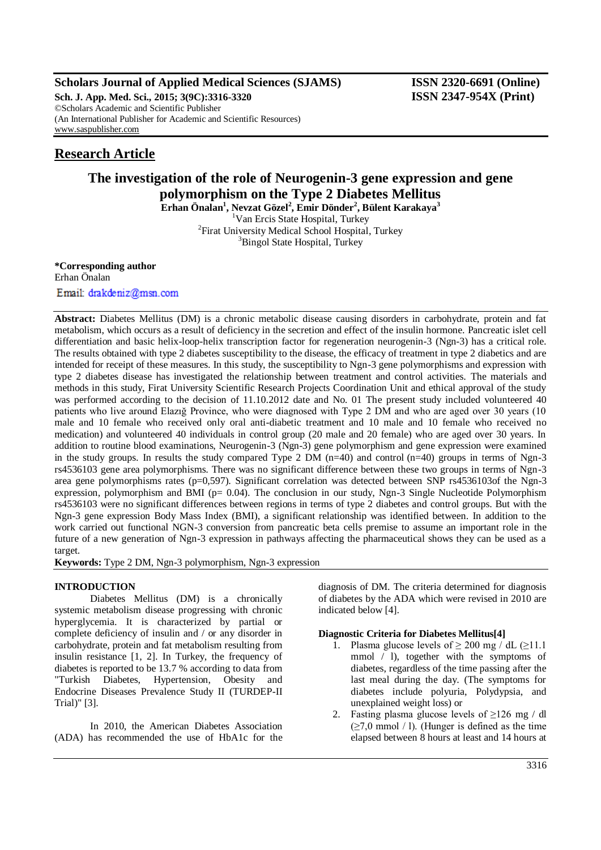# **Scholars Journal of Applied Medical Sciences (SJAMS) ISSN 2320-6691 (Online)**

**Sch. J. App. Med. Sci., 2015; 3(9C):3316-3320 ISSN 2347-954X (Print)** ©Scholars Academic and Scientific Publisher (An International Publisher for Academic and Scientific Resources) [www.saspublisher.com](http://www.saspublisher.com/)

# **Research Article**

# **The investigation of the role of Neurogenin-3 gene expression and gene polymorphism on the Type 2 Diabetes Mellitus**

**Erhan Önalan<sup>1</sup> , Nevzat Gözel<sup>2</sup> , Emir Dönder<sup>2</sup> , Bülent Karakaya<sup>3</sup>** <sup>1</sup>Van Ercis State Hospital, Turkey <sup>2</sup>Firat University Medical School Hospital, Turkey <sup>3</sup>Bingol State Hospital, Turkey

**\*Corresponding author** Erhan Önalan Email: drakdeniz@msn.com

**Abstract:** Diabetes Mellitus (DM) is a chronic metabolic disease causing disorders in carbohydrate, protein and fat metabolism, which occurs as a result of deficiency in the secretion and effect of the insulin hormone. Pancreatic islet cell differentiation and basic helix-loop-helix transcription factor for regeneration neurogenin-3 (Ngn-3) has a critical role. The results obtained with type 2 diabetes susceptibility to the disease, the efficacy of treatment in type 2 diabetics and are intended for receipt of these measures. In this study, the susceptibility to Ngn-3 gene polymorphisms and expression with type 2 diabetes disease has investigated the relationship between treatment and control activities. The materials and methods in this study, Firat University Scientific Research Projects Coordination Unit and ethical approval of the study was performed according to the decision of 11.10.2012 date and No. 01 The present study included volunteered 40 patients who live around Elazığ Province, who were diagnosed with Type 2 DM and who are aged over 30 years (10 male and 10 female who received only oral anti-diabetic treatment and 10 male and 10 female who received no medication) and volunteered 40 individuals in control group (20 male and 20 female) who are aged over 30 years. In addition to routine blood examinations, Neurogenin-3 (Ngn-3) gene polymorphism and gene expression were examined in the study groups. In results the study compared Type 2 DM (n=40) and control (n=40) groups in terms of Ngn-3 rs4536103 gene area polymorphisms. There was no significant difference between these two groups in terms of Ngn-3 area gene polymorphisms rates (p=0,597). Significant correlation was detected between SNP rs4536103of the Ngn-3 expression, polymorphism and BMI ( $p= 0.04$ ). The conclusion in our study, Ngn-3 Single Nucleotide Polymorphism rs4536103 were no significant differences between regions in terms of type 2 diabetes and control groups. But with the Ngn-3 gene expression Body Mass Index (BMI), a significant relationship was identified between. In addition to the work carried out functional NGN-3 conversion from pancreatic beta cells premise to assume an important role in the future of a new generation of Ngn-3 expression in pathways affecting the pharmaceutical shows they can be used as a target.

**Keywords:** Type 2 DM, Ngn-3 polymorphism, Ngn-3 expression

# **INTRODUCTION**

Diabetes Mellitus (DM) is a chronically systemic metabolism disease progressing with chronic hyperglycemia. It is characterized by partial or complete deficiency of insulin and / or any disorder in carbohydrate, protein and fat metabolism resulting from insulin resistance [1, 2]. In Turkey, the frequency of diabetes is reported to be 13.7 % according to data from "Turkish Diabetes, Hypertension, Obesity and Endocrine Diseases Prevalence Study II (TURDEP-II Trial)" [3].

In 2010, the American Diabetes Association (ADA) has recommended the use of HbA1c for the diagnosis of DM. The criteria determined for diagnosis of diabetes by the ADA which were revised in 2010 are indicated below [4].

# **Diagnostic Criteria for Diabetes Mellitus[4]**

- 1. Plasma glucose levels of  $\geq 200$  mg / dL ( $\geq 11.1$ ) mmol / l), together with the symptoms of diabetes, regardless of the time passing after the last meal during the day. (The symptoms for diabetes include polyuria, Polydypsia, and unexplained weight loss) or
- 2. Fasting plasma glucose levels of  $\geq$ 126 mg / dl  $(\geq 7.0 \text{ mmol } / 1)$ . (Hunger is defined as the time elapsed between 8 hours at least and 14 hours at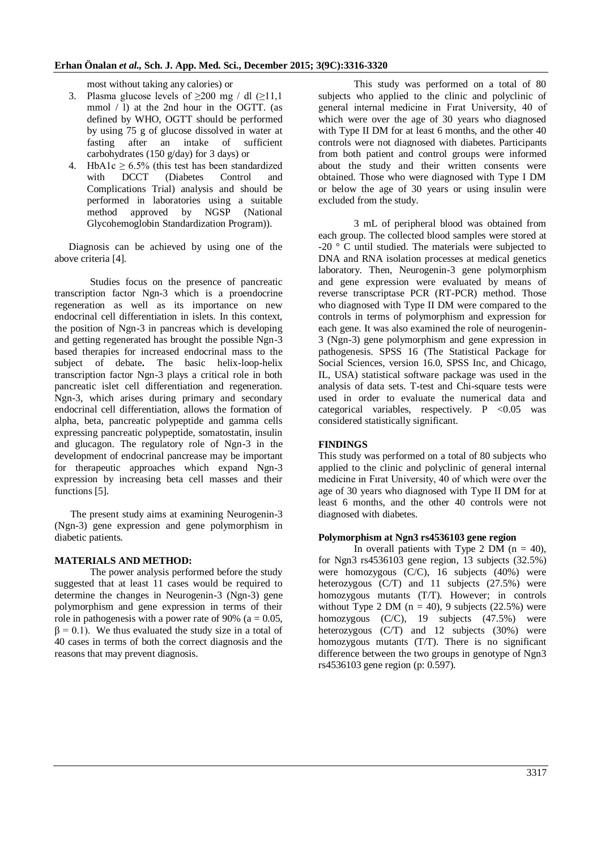most without taking any calories) or

- 3. Plasma glucose levels of  $\geq$ 200 mg / dl ( $\geq$ 11,1 mmol / l) at the 2nd hour in the OGTT. (as defined by WHO, OGTT should be performed by using 75 g of glucose dissolved in water at fasting after an intake of sufficient fasting after an intake of carbohydrates (150 g/day) for 3 days) or
- 4. HbA1c  $\geq$  6.5% (this test has been standardized with DCCT (Diabetes Control and Complications Trial) analysis and should be performed in laboratories using a suitable method approved by NGSP (National Glycohemoglobin Standardization Program)).

Diagnosis can be achieved by using one of the above criteria [4].

Studies focus on the presence of pancreatic transcription factor Ngn-3 which is a proendocrine regeneration as well as its importance on new endocrinal cell differentiation in islets. In this context, the position of Ngn-3 in pancreas which is developing and getting regenerated has brought the possible Ngn-3 based therapies for increased endocrinal mass to the subject of debate**.** The basic helix-loop-helix transcription factor Ngn-3 plays a critical role in both pancreatic islet cell differentiation and regeneration. Ngn-3, which arises during primary and secondary endocrinal cell differentiation, allows the formation of alpha, beta, pancreatic polypeptide and gamma cells expressing pancreatic polypeptide, somatostatin, insulin and glucagon. The regulatory role of Ngn-3 in the development of endocrinal pancrease may be important for therapeutic approaches which expand Ngn-3 expression by increasing beta cell masses and their functions [5].

The present study aims at examining Neurogenin-3 (Ngn-3) gene expression and gene polymorphism in diabetic patients.

# **MATERIALS AND METHOD:**

The power analysis performed before the study suggested that at least 11 cases would be required to determine the changes in Neurogenin-3 (Ngn-3) gene polymorphism and gene expression in terms of their role in pathogenesis with a power rate of 90% ( $a = 0.05$ ,  $\beta = 0.1$ ). We thus evaluated the study size in a total of 40 cases in terms of both the correct diagnosis and the reasons that may prevent diagnosis.

This study was performed on a total of 80 subjects who applied to the clinic and polyclinic of general internal medicine in Fırat University, 40 of which were over the age of 30 years who diagnosed with Type II DM for at least 6 months, and the other 40 controls were not diagnosed with diabetes. Participants from both patient and control groups were informed about the study and their written consents were obtained. Those who were diagnosed with Type I DM or below the age of 30 years or using insulin were excluded from the study.

3 mL of peripheral blood was obtained from each group. The collected blood samples were stored at -20 ° C until studied. The materials were subjected to DNA and RNA isolation processes at medical genetics laboratory. Then, Neurogenin-3 gene polymorphism and gene expression were evaluated by means of reverse transcriptase PCR (RT-PCR) method. Those who diagnosed with Type II DM were compared to the controls in terms of polymorphism and expression for each gene. It was also examined the role of neurogenin-3 (Ngn-3) gene polymorphism and gene expression in pathogenesis. SPSS 16 (The Statistical Package for Social Sciences, version 16.0, SPSS Inc, and Chicago, IL, USA) statistical software package was used in the analysis of data sets. T-test and Chi-square tests were used in order to evaluate the numerical data and categorical variables, respectively.  $P \leq 0.05$  was considered statistically significant.

# **FINDINGS**

This study was performed on a total of 80 subjects who applied to the clinic and polyclinic of general internal medicine in Fırat University, 40 of which were over the age of 30 years who diagnosed with Type II DM for at least 6 months, and the other 40 controls were not diagnosed with diabetes.

#### **Polymorphism at Ngn3 rs4536103 gene region**

In overall patients with Type 2 DM  $(n = 40)$ , for Ngn3 rs4536103 gene region, 13 subjects (32.5%) were homozygous (C/C), 16 subjects (40%) were heterozygous (C/T) and 11 subjects (27.5%) were homozygous mutants (T/T). However; in controls without Type 2 DM ( $n = 40$ ), 9 subjects (22.5%) were homozygous (C/C), 19 subjects (47.5%) were heterozygous (C/T) and 12 subjects (30%) were homozygous mutants (T/T). There is no significant difference between the two groups in genotype of Ngn3 rs4536103 gene region (p: 0.597).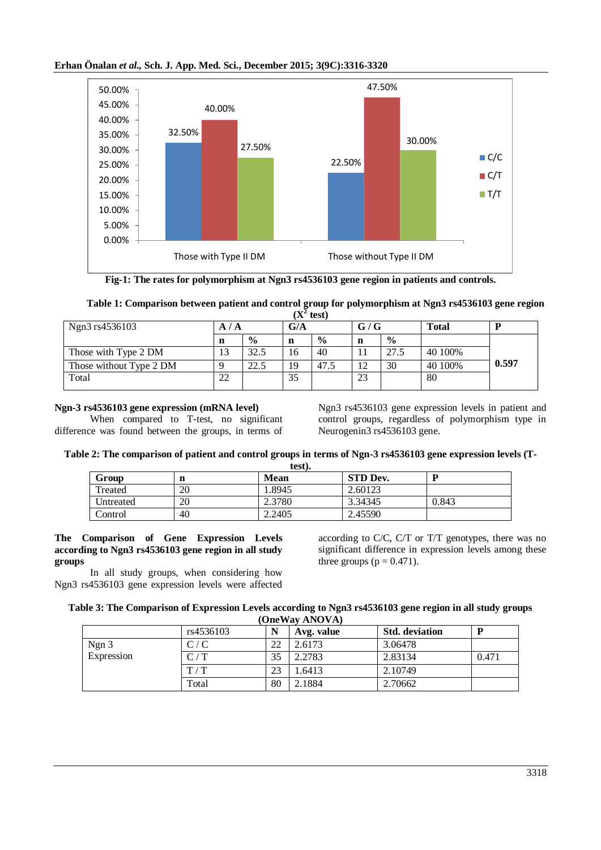# **Erhan Önalan** *et al.,* **Sch. J. App. Med. Sci., December 2015; 3(9C):3316-3320**



**Fig-1: The rates for polymorphism at Ngn3 rs4536103 gene region in patients and controls.**

| Table 1: Comparison between patient and control group for polymorphism at Ngn3 rs4536103 gene region |  |
|------------------------------------------------------------------------------------------------------|--|
| $(X^2$ test)                                                                                         |  |

| Ngn3 rs4536103          |            |               | G/A |               | G/G |               | <b>Total</b> |       |
|-------------------------|------------|---------------|-----|---------------|-----|---------------|--------------|-------|
|                         | ш          | $\frac{0}{0}$ | n   | $\frac{0}{0}$ |     | $\frac{6}{6}$ |              |       |
| Those with Type 2 DM    | ∣ つ<br>12. | 32.5          | 16  | 40            |     | 27.5          | 40 100%      |       |
| Those without Type 2 DM |            | 22.5          | 19  | 47.5          | 12  | 30            | 40 100%      | 0.597 |
| Total                   | 22         |               | 35  |               | 23  |               | 80           |       |

# **Ngn-3 rs4536103 gene expression (mRNA level)**

When compared to T-test, no significant difference was found between the groups, in terms of Ngn3 rs4536103 gene expression levels in patient and control groups, regardless of polymorphism type in Neurogenin3 rs4536103 gene.

# **Table 2: The comparison of patient and control groups in terms of Ngn-3 rs4536103 gene expression levels (T-**

| test).    |    |        |                 |       |  |
|-----------|----|--------|-----------------|-------|--|
| Group     | n  | Mean   | <b>STD Dev.</b> |       |  |
| Treated   | 20 | 1.8945 | 2.60123         |       |  |
| Untreated | 20 | 2.3780 | 3.34345         | 0.843 |  |
| Control   | 40 | 2.2405 | 2.45590         |       |  |

# **The Comparison of Gene Expression Levels according to Ngn3 rs4536103 gene region in all study groups**

In all study groups, when considering how Ngn3 rs4536103 gene expression levels were affected

according to C/C, C/T or T/T genotypes, there was no significant difference in expression levels among these three groups ( $p = 0.471$ ).

| Table 3: The Comparison of Expression Levels according to Ngn3 rs4536103 gene region in all study groups |
|----------------------------------------------------------------------------------------------------------|
| (OneWay ANOVA)                                                                                           |

|            | rs4536103 | N  | Avg. value | <b>Std.</b> deviation | D     |
|------------|-----------|----|------------|-----------------------|-------|
| Ngn 3      | C/C       | 22 | 2.6173     | 3.06478               |       |
| Expression | C/T       |    | 2.2783     | 2.83134               | 0.471 |
|            | T/T       | 23 | 1.6413     | 2.10749               |       |
|            | Total     | 80 | 2.1884     | 2.70662               |       |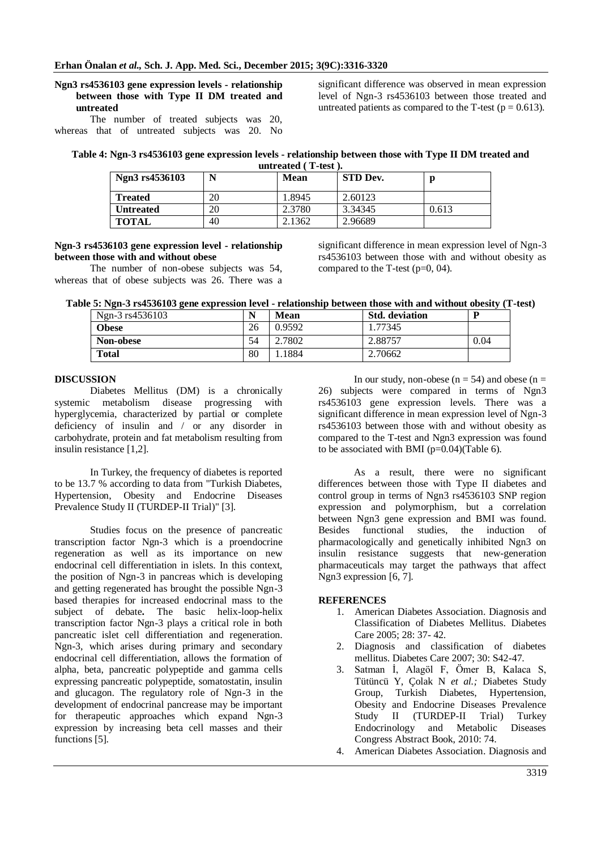## **Ngn3 rs4536103 gene expression levels - relationship between those with Type II DM treated and untreated**

The number of treated subjects was 20, whereas that of untreated subjects was 20. No

significant difference was observed in mean expression level of Ngn-3 rs4536103 between those treated and untreated patients as compared to the T-test ( $p = 0.613$ ).

| Table 4: Ngn-3 rs4536103 gene expression levels - relationship between those with Type II DM treated and |                                    |  |  |
|----------------------------------------------------------------------------------------------------------|------------------------------------|--|--|
|                                                                                                          | $-1$ $-1$ $-1$ $-1$ $+1$ $-1$ $-1$ |  |  |

| Ngn3 rs4536103   | N  | Mean   | <b>STD Dev.</b> |       |
|------------------|----|--------|-----------------|-------|
| <b>Treated</b>   | 20 | 1.8945 | 2.60123         |       |
| <b>Untreated</b> | 20 | 2.3780 | 3.34345         | 0.613 |
| <b>TOTAL</b>     | 40 | 2.1362 | 2.96689         |       |

#### **Ngn-3 rs4536103 gene expression level - relationship between those with and without obese**

The number of non-obese subjects was 54, whereas that of obese subjects was 26. There was a

significant difference in mean expression level of Ngn-3 rs4536103 between those with and without obesity as compared to the T-test (p=0, 04).

**Table 5: Ngn-3 rs4536103 gene expression level - relationship between those with and without obesity (T-test)**

| Ngn-3 rs4536103 |    | Mean   | <b>Std.</b> deviation | D    |
|-----------------|----|--------|-----------------------|------|
| <b>Obese</b>    | 26 | 0.9592 | 1.77345               |      |
| Non-obese       | 54 | 2.7802 | 2.88757               | 0.04 |
| <b>Total</b>    | 80 | .1884  | 2.70662               |      |

### **DISCUSSION**

Diabetes Mellitus (DM) is a chronically systemic metabolism disease progressing with hyperglycemia, characterized by partial or complete deficiency of insulin and / or any disorder in carbohydrate, protein and fat metabolism resulting from insulin resistance [1,2].

In Turkey, the frequency of diabetes is reported to be 13.7 % according to data from "Turkish Diabetes, Hypertension, Obesity and Endocrine Diseases Prevalence Study II (TURDEP-II Trial)" [3].

Studies focus on the presence of pancreatic transcription factor Ngn-3 which is a proendocrine regeneration as well as its importance on new endocrinal cell differentiation in islets. In this context, the position of Ngn-3 in pancreas which is developing and getting regenerated has brought the possible Ngn-3 based therapies for increased endocrinal mass to the subject of debate**.** The basic helix-loop-helix transcription factor Ngn-3 plays a critical role in both pancreatic islet cell differentiation and regeneration. Ngn-3, which arises during primary and secondary endocrinal cell differentiation, allows the formation of alpha, beta, pancreatic polypeptide and gamma cells expressing pancreatic polypeptide, somatostatin, insulin and glucagon. The regulatory role of Ngn-3 in the development of endocrinal pancrease may be important for therapeutic approaches which expand Ngn-3 expression by increasing beta cell masses and their functions [5].

In our study, non-obese ( $n = 54$ ) and obese ( $n =$ 26) subjects were compared in terms of Ngn3 rs4536103 gene expression levels. There was a significant difference in mean expression level of Ngn-3 rs4536103 between those with and without obesity as compared to the T-test and Ngn3 expression was found to be associated with BMI ( $p=0.04$ )(Table 6).

As a result, there were no significant differences between those with Type II diabetes and control group in terms of Ngn3 rs4536103 SNP region expression and polymorphism, but a correlation between Ngn3 gene expression and BMI was found. Besides functional studies, the induction of pharmacologically and genetically inhibited Ngn3 on insulin resistance suggests that new-generation pharmaceuticals may target the pathways that affect Ngn3 expression [6, 7].

### **REFERENCES**

- 1. American Diabetes Association. Diagnosis and Classification of Diabetes Mellitus. Diabetes Care 2005; 28: 37- 42.
- 2. Diagnosis and classification of diabetes mellitus. Diabetes Care 2007; 30: S42-47.
- 3. Satman İ, Alagöl F, Ömer B, Kalaca S, Tütüncü Y, Çolak N *et al.;* Diabetes Study Group, Turkish Diabetes, Hypertension, Obesity and Endocrine Diseases Prevalence Study II (TURDEP-II Trial) Turkey Endocrinology and Metabolic Diseases Congress Abstract Book, 2010: 74.
- 4. American Diabetes Association. Diagnosis and